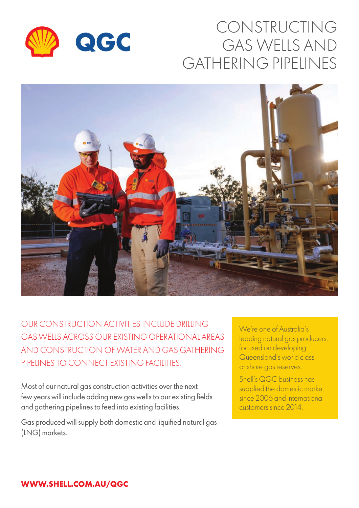

# CONSTRUCTING GAS WELLS AND GATHERING PIPELINES



OUR CONSTRUCTION ACTIVITIES INCLUDE DRILLING GAS WELLS ACROSS OUR EXISTING OPERATIONAL AREAS AND CONSTRUCTION OF WATER AND GAS GATHERING PIPELINES TO CONNECT EXISTING FACILITIES.

Most of our natural gas construction activities over the next few years will include adding new gas wells to our existing fields and gathering pipelines to feed into existing facilities.

Gas produced will supply both domestic and liquified natural gas (LNG) markets.

We're one of Australia's leading natural gas producers, focused on developing Queensland's world-class onshore gas reserves.

Shell's QGC business has supplied the domestic market since 2006 and international customers since 2014.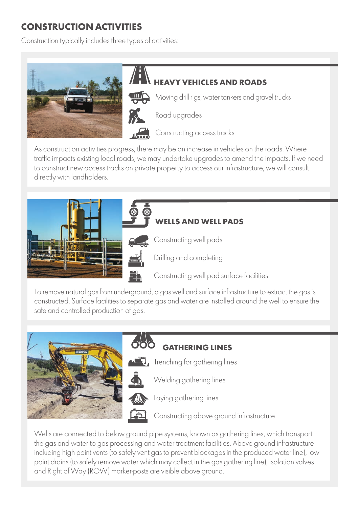### **CONSTRUCTION ACTIVITIES**

Construction typically includes three types of activities:



/ i  **HEAVY VEHICLES AND ROADS**  $\mathbf{III}$ Moving drill rigs, water tankers and gravel trucks



Road upgrades

Constructing access tracks

As construction activities progress, there may be an increase in vehicles on the roads. Where traffic impacts existing local roads, we may undertake upgrades to amend the impacts. If we need to construct new access tracks on private property to access our infrastructure, we will consult directly with landholders.





To remove natural gas from underground, a gas well and surface infrastructure to extract the gas is constructed. Surface facilities to separate gas and water are installed around the well to ensure the safe and controlled production of gas.



## **GATHERING LINES**



Trenching for gathering lines

Welding gathering lines



Constructing above ground infrastructure

Wells are connected to below ground pipe systems, known as gathering lines, which transport the gas and water to gas processing and water treatment facilities. Above ground infrastructure including high point vents (to safely vent gas to prevent blockages in the produced water line), low point drains (to safely remove water which may collect in the gas gathering line), isolation valves and Right of Way (ROW) marker-posts are visible above ground.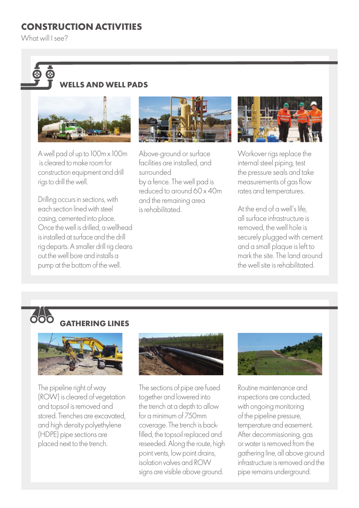### **CONSTRUCTION ACTIVITIES**

What will I see?

## **C FILS AND WELL PADS**



A well pad of up to 100m x 100m is cleared to make room for construction equipment and drill rigs to drill the well.

Drilling occurs in sections, with each section lined with steel casing, cemented into place. Once the well is drilled, a wellhead is installed at surface and the drill rig departs. A smaller drill rig cleans out the well bore and installs a pump at the bottom of the well.



Above-ground or surface facilities are installed, and surrounded by a fence. The well pad is reduced to around 60 x 40m and the remaining area is rehabilitated.



Workover rigs replace the internal steel piping, test the pressure seals and take measurements of gas flow rates and temperatures.

At the end of a well's life, all surface infrastructure is removed, the well hole is securely plugged with cement and a small plaque is left to mark the site. The land around the well site is rehabilitated.

# **600 GATHERING LINES**



The pipeline right of way (ROW) is cleared of vegetation and topsoil is removed and stored. Trenches are excavated, and high density polyethylene (HDPE) pipe sections are placed next to the trench.



The sections of pipe are fused together and lowered into the trench at a depth to allow for a minimum of 750mm coverage. The trench is backfilled, the topsoil replaced and reseeded. Along the route, high point vents, low point drains, isolation valves and ROW signs are visible above ground.



Routine maintenance and inspections are conducted, with ongoing monitoring of the pipeline pressure, temperature and easement. After decommissioning, gas or water is removed from the gathering line, all above ground infrastructure is removed and the pipe remains underground.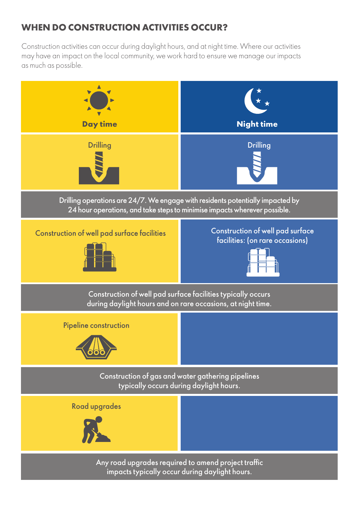### **WHEN DO CONSTRUCTION ACTIVITIES OCCUR?**

Construction activities can occur during daylight hours, and at night time. Where our activities may have an impact on the local community, we work hard to ensure we manage our impacts as much as possible.

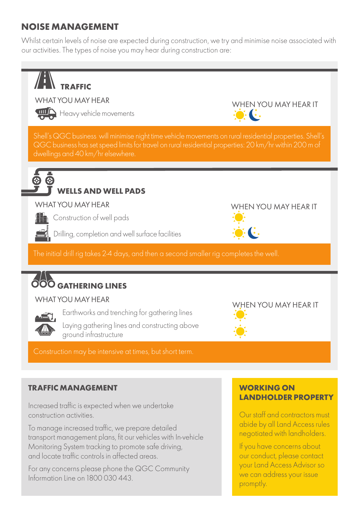### **NOISE MANAGEMENT**

Whilst certain levels of noise are expected during construction, we try and minimise noise associated with our activities. The types of noise you may hear during construction are:



and locate traffic controls in affected areas.

For any concerns please phone the QGC Community Information Line on 1800 030 443.

our conduct, please contact your Land Access Advisor so we can address your issue promptly.